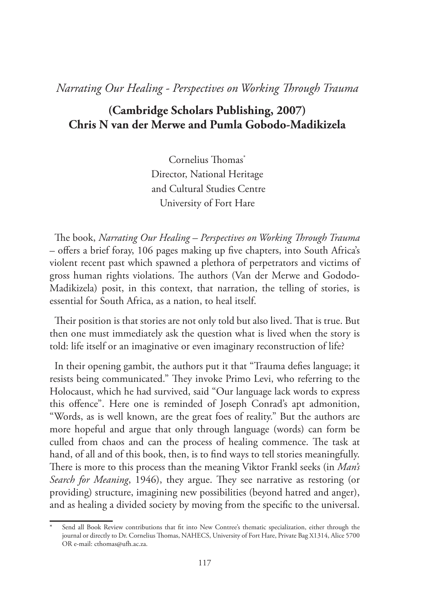## *Narrating Our Healing - Perspectives on Working Through Trauma*

### **(Cambridge Scholars Publishing, 2007) Chris N van der Merwe and Pumla Gobodo-Madikizela**

Cornelius Thomas\* Director, National Heritage and Cultural Studies Centre University of Fort Hare

The book, *Narrating Our Healing – Perspectives on Working Through Trauma* – offers a brief foray, 106 pages making up five chapters, into South Africa's violent recent past which spawned a plethora of perpetrators and victims of gross human rights violations. The authors (Van der Merwe and Gododo-Madikizela) posit, in this context, that narration, the telling of stories, is essential for South Africa, as a nation, to heal itself.

Their position is that stories are not only told but also lived. That is true. But then one must immediately ask the question what is lived when the story is told: life itself or an imaginative or even imaginary reconstruction of life?

In their opening gambit, the authors put it that "Trauma defies language; it resists being communicated." They invoke Primo Levi, who referring to the Holocaust, which he had survived, said "Our language lack words to express this offence". Here one is reminded of Joseph Conrad's apt admonition, "Words, as is well known, are the great foes of reality." But the authors are more hopeful and argue that only through language (words) can form be culled from chaos and can the process of healing commence. The task at hand, of all and of this book, then, is to find ways to tell stories meaningfully. There is more to this process than the meaning Viktor Frankl seeks (in *Man's Search for Meaning*, 1946), they argue. They see narrative as restoring (or providing) structure, imagining new possibilities (beyond hatred and anger), and as healing a divided society by moving from the specific to the universal.

Send all Book Review contributions that fit into New Contree's thematic specialization, either through the journal or directly to Dr. Cornelius Thomas, NAHECS, University of Fort Hare, Private Bag X1314, Alice 5700 OR e-mail: cthomas@ufh.ac.za.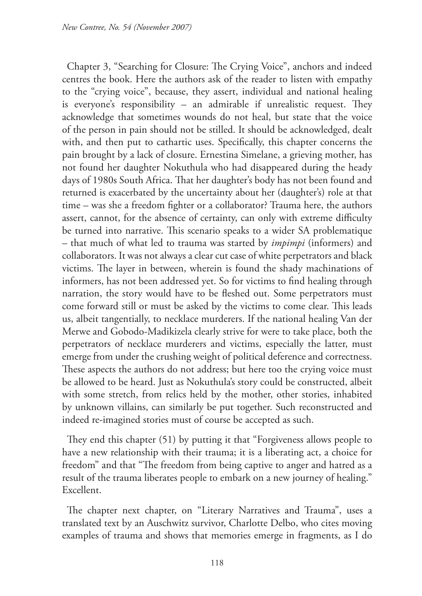Chapter 3, "Searching for Closure: The Crying Voice", anchors and indeed centres the book. Here the authors ask of the reader to listen with empathy to the "crying voice", because, they assert, individual and national healing is everyone's responsibility – an admirable if unrealistic request. They acknowledge that sometimes wounds do not heal, but state that the voice of the person in pain should not be stilled. It should be acknowledged, dealt with, and then put to cathartic uses. Specifically, this chapter concerns the pain brought by a lack of closure. Ernestina Simelane, a grieving mother, has not found her daughter Nokuthula who had disappeared during the heady days of 1980s South Africa. That her daughter's body has not been found and returned is exacerbated by the uncertainty about her (daughter's) role at that time – was she a freedom fighter or a collaborator? Trauma here, the authors assert, cannot, for the absence of certainty, can only with extreme difficulty be turned into narrative. This scenario speaks to a wider SA problematique – that much of what led to trauma was started by *impimpi* (informers) and collaborators. It was not always a clear cut case of white perpetrators and black victims. The layer in between, wherein is found the shady machinations of informers, has not been addressed yet. So for victims to find healing through narration, the story would have to be fleshed out. Some perpetrators must come forward still or must be asked by the victims to come clear. This leads us, albeit tangentially, to necklace murderers. If the national healing Van der Merwe and Gobodo-Madikizela clearly strive for were to take place, both the perpetrators of necklace murderers and victims, especially the latter, must emerge from under the crushing weight of political deference and correctness. These aspects the authors do not address; but here too the crying voice must be allowed to be heard. Just as Nokuthula's story could be constructed, albeit with some stretch, from relics held by the mother, other stories, inhabited by unknown villains, can similarly be put together. Such reconstructed and indeed re-imagined stories must of course be accepted as such.

They end this chapter (51) by putting it that "Forgiveness allows people to have a new relationship with their trauma; it is a liberating act, a choice for freedom" and that "The freedom from being captive to anger and hatred as a result of the trauma liberates people to embark on a new journey of healing." Excellent.

The chapter next chapter, on "Literary Narratives and Trauma", uses a translated text by an Auschwitz survivor, Charlotte Delbo, who cites moving examples of trauma and shows that memories emerge in fragments, as I do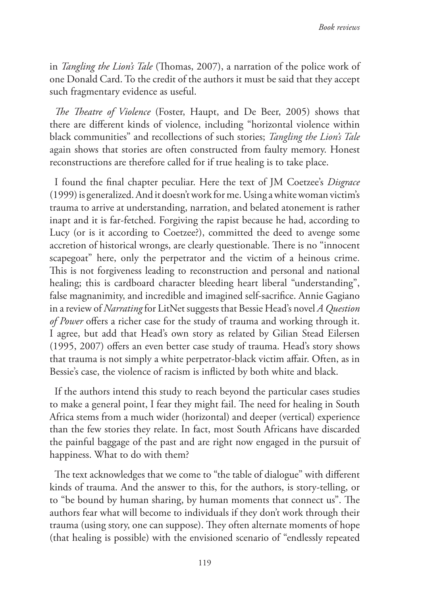in *Tangling the Lion's Tale* (Thomas, 2007), a narration of the police work of one Donald Card. To the credit of the authors it must be said that they accept such fragmentary evidence as useful.

*The Theatre of Violence* (Foster, Haupt, and De Beer, 2005) shows that there are different kinds of violence, including "horizontal violence within black communities" and recollections of such stories; *Tangling the Lion's Tale* again shows that stories are often constructed from faulty memory. Honest reconstructions are therefore called for if true healing is to take place.

I found the final chapter peculiar. Here the text of JM Coetzee's *Disgrace* (1999) is generalized. And it doesn't work for me. Using a white woman victim's trauma to arrive at understanding, narration, and belated atonement is rather inapt and it is far-fetched. Forgiving the rapist because he had, according to Lucy (or is it according to Coetzee?), committed the deed to avenge some accretion of historical wrongs, are clearly questionable. There is no "innocent scapegoat" here, only the perpetrator and the victim of a heinous crime. This is not forgiveness leading to reconstruction and personal and national healing; this is cardboard character bleeding heart liberal "understanding", false magnanimity, and incredible and imagined self-sacrifice. Annie Gagiano in a review of *Narrating* for LitNet suggests that Bessie Head's novel *A Question of Power* offers a richer case for the study of trauma and working through it. I agree, but add that Head's own story as related by Gilian Stead Eilersen (1995, 2007) offers an even better case study of trauma. Head's story shows that trauma is not simply a white perpetrator-black victim affair. Often, as in Bessie's case, the violence of racism is inflicted by both white and black.

If the authors intend this study to reach beyond the particular cases studies to make a general point, I fear they might fail. The need for healing in South Africa stems from a much wider (horizontal) and deeper (vertical) experience than the few stories they relate. In fact, most South Africans have discarded the painful baggage of the past and are right now engaged in the pursuit of happiness. What to do with them?

The text acknowledges that we come to "the table of dialogue" with different kinds of trauma. And the answer to this, for the authors, is story-telling, or to "be bound by human sharing, by human moments that connect us". The authors fear what will become to individuals if they don't work through their trauma (using story, one can suppose). They often alternate moments of hope (that healing is possible) with the envisioned scenario of "endlessly repeated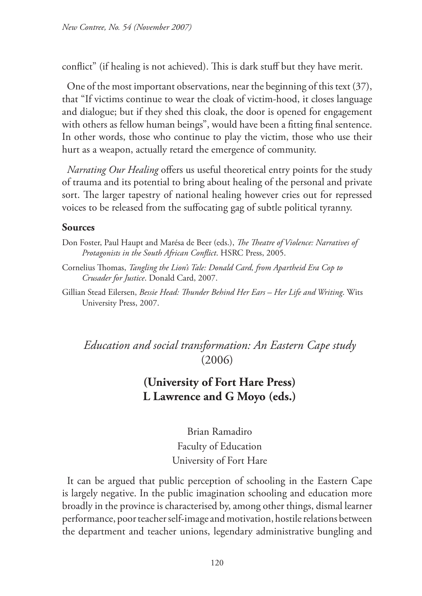conflict" (if healing is not achieved). This is dark stuff but they have merit.

One of the most important observations, near the beginning of this text (37), that "If victims continue to wear the cloak of victim-hood, it closes language and dialogue; but if they shed this cloak, the door is opened for engagement with others as fellow human beings", would have been a fitting final sentence. In other words, those who continue to play the victim, those who use their hurt as a weapon, actually retard the emergence of community.

*Narrating Our Healing* offers us useful theoretical entry points for the study of trauma and its potential to bring about healing of the personal and private sort. The larger tapestry of national healing however cries out for repressed voices to be released from the suffocating gag of subtle political tyranny.

#### **Sources**

- Don Foster, Paul Haupt and Marésa de Beer (eds.), *The Theatre of Violence: Narratives of Protagonists in the South African Conflict*. HSRC Press, 2005.
- Cornelius Thomas, *Tangling the Lion's Tale: Donald Card, from Apartheid Era Cop to Crusader for Justice*. Donald Card, 2007.
- Gillian Stead Eilersen, *Bessie Head: Thunder Behind Her Ears Her Life and Writing*. Wits University Press, 2007.

*Education and social transformation: An Eastern Cape study* (2006)

#### **(University of Fort Hare Press) L Lawrence and G Moyo (eds.)**

Brian Ramadiro Faculty of Education University of Fort Hare

It can be argued that public perception of schooling in the Eastern Cape is largely negative. In the public imagination schooling and education more broadly in the province is characterised by, among other things, dismal learner performance, poor teacher self-image and motivation, hostile relations between the department and teacher unions, legendary administrative bungling and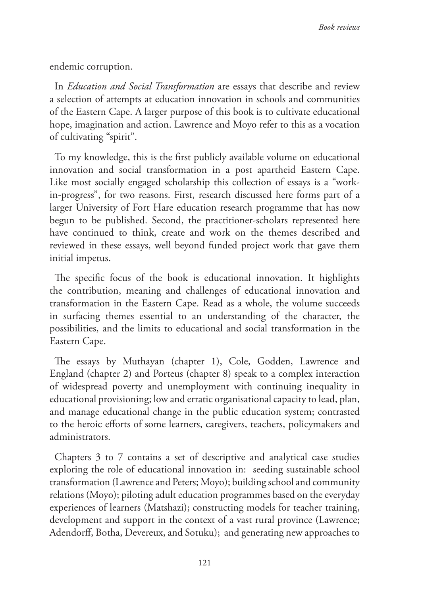endemic corruption.

In *Education and Social Transformation* are essays that describe and review a selection of attempts at education innovation in schools and communities of the Eastern Cape. A larger purpose of this book is to cultivate educational hope, imagination and action. Lawrence and Moyo refer to this as a vocation of cultivating "spirit".

To my knowledge, this is the first publicly available volume on educational innovation and social transformation in a post apartheid Eastern Cape. Like most socially engaged scholarship this collection of essays is a "workin-progress", for two reasons. First, research discussed here forms part of a larger University of Fort Hare education research programme that has now begun to be published. Second, the practitioner-scholars represented here have continued to think, create and work on the themes described and reviewed in these essays, well beyond funded project work that gave them initial impetus.

The specific focus of the book is educational innovation. It highlights the contribution, meaning and challenges of educational innovation and transformation in the Eastern Cape. Read as a whole, the volume succeeds in surfacing themes essential to an understanding of the character, the possibilities, and the limits to educational and social transformation in the Eastern Cape.

The essays by Muthayan (chapter 1), Cole, Godden, Lawrence and England (chapter 2) and Porteus (chapter 8) speak to a complex interaction of widespread poverty and unemployment with continuing inequality in educational provisioning; low and erratic organisational capacity to lead, plan, and manage educational change in the public education system; contrasted to the heroic efforts of some learners, caregivers, teachers, policymakers and administrators.

Chapters 3 to 7 contains a set of descriptive and analytical case studies exploring the role of educational innovation in: seeding sustainable school transformation (Lawrence and Peters; Moyo); building school and community relations (Moyo); piloting adult education programmes based on the everyday experiences of learners (Matshazi); constructing models for teacher training, development and support in the context of a vast rural province (Lawrence; Adendorff, Botha, Devereux, and Sotuku); and generating new approaches to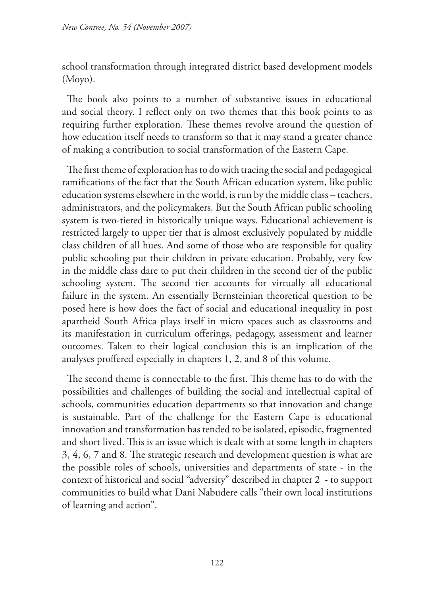school transformation through integrated district based development models (Moyo).

The book also points to a number of substantive issues in educational and social theory. I reflect only on two themes that this book points to as requiring further exploration. These themes revolve around the question of how education itself needs to transform so that it may stand a greater chance of making a contribution to social transformation of the Eastern Cape.

The first theme of exploration has to do with tracing the social and pedagogical ramifications of the fact that the South African education system, like public education systems elsewhere in the world, is run by the middle class – teachers, administrators, and the policymakers. But the South African public schooling system is two-tiered in historically unique ways. Educational achievement is restricted largely to upper tier that is almost exclusively populated by middle class children of all hues. And some of those who are responsible for quality public schooling put their children in private education. Probably, very few in the middle class dare to put their children in the second tier of the public schooling system. The second tier accounts for virtually all educational failure in the system. An essentially Bernsteinian theoretical question to be posed here is how does the fact of social and educational inequality in post apartheid South Africa plays itself in micro spaces such as classrooms and its manifestation in curriculum offerings, pedagogy, assessment and learner outcomes. Taken to their logical conclusion this is an implication of the analyses proffered especially in chapters 1, 2, and 8 of this volume.

The second theme is connectable to the first. This theme has to do with the possibilities and challenges of building the social and intellectual capital of schools, communities education departments so that innovation and change is sustainable. Part of the challenge for the Eastern Cape is educational innovation and transformation has tended to be isolated, episodic, fragmented and short lived. This is an issue which is dealt with at some length in chapters 3, 4, 6, 7 and 8. The strategic research and development question is what are the possible roles of schools, universities and departments of state - in the context of historical and social "adversity" described in chapter 2 - to support communities to build what Dani Nabudere calls "their own local institutions of learning and action".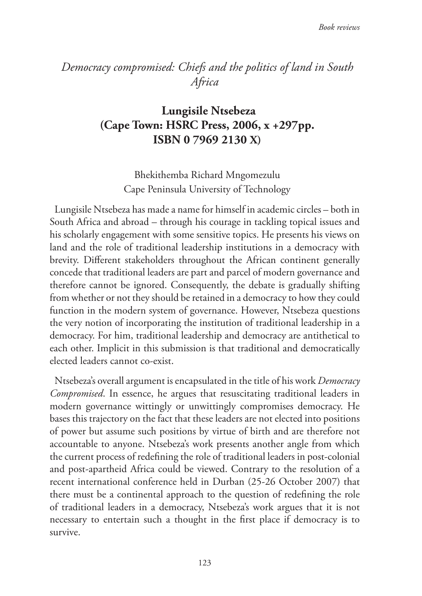# *Democracy compromised: Chiefs and the politics of land in South Africa*

# **Lungisile Ntsebeza (Cape Town: HSRC Press, 2006, x +297pp. ISBN 0 7969 2130 X)**

Bhekithemba Richard Mngomezulu Cape Peninsula University of Technology

Lungisile Ntsebeza has made a name for himself in academic circles – both in South Africa and abroad – through his courage in tackling topical issues and his scholarly engagement with some sensitive topics. He presents his views on land and the role of traditional leadership institutions in a democracy with brevity. Different stakeholders throughout the African continent generally concede that traditional leaders are part and parcel of modern governance and therefore cannot be ignored. Consequently, the debate is gradually shifting from whether or not they should be retained in a democracy to how they could function in the modern system of governance. However, Ntsebeza questions the very notion of incorporating the institution of traditional leadership in a democracy. For him, traditional leadership and democracy are antithetical to each other. Implicit in this submission is that traditional and democratically elected leaders cannot co-exist.

Ntsebeza's overall argument is encapsulated in the title of his work *Democracy Compromised*. In essence, he argues that resuscitating traditional leaders in modern governance wittingly or unwittingly compromises democracy. He bases this trajectory on the fact that these leaders are not elected into positions of power but assume such positions by virtue of birth and are therefore not accountable to anyone. Ntsebeza's work presents another angle from which the current process of redefining the role of traditional leaders in post-colonial and post-apartheid Africa could be viewed. Contrary to the resolution of a recent international conference held in Durban (25-26 October 2007) that there must be a continental approach to the question of redefining the role of traditional leaders in a democracy, Ntsebeza's work argues that it is not necessary to entertain such a thought in the first place if democracy is to survive.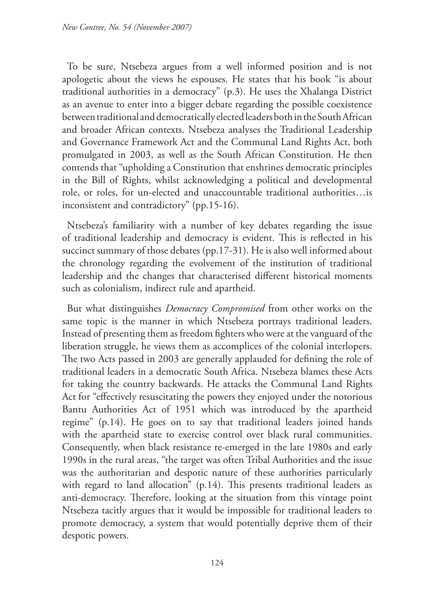To be sure, Ntsebeza argues from a well informed position and is not apologetic about the views he espouses. He states that his book "is about traditional authorities in a democracy" (p.3). He uses the Xhalanga District as an avenue to enter into a bigger debate regarding the possible coexistence between traditional and democratically elected leaders both in the South African and broader African contexts. Ntsebeza analyses the Traditional Leadership and Governance Framework Act and the Communal Land Rights Act, both promulgated in 2003, as well as the South African Constitution. He then contends that "upholding a Constitution that enshrines democratic principles in the Bill of Rights, whilst acknowledging a political and developmental role, or roles, for un-elected and unaccountable traditional authorities…is inconsistent and contradictory" (pp.15-16).

Ntsebeza's familiarity with a number of key debates regarding the issue of traditional leadership and democracy is evident. This is reflected in his succinct summary of those debates (pp.17-31). He is also well informed about the chronology regarding the evolvement of the institution of traditional leadership and the changes that characterised different historical moments such as colonialism, indirect rule and apartheid.

But what distinguishes *Democracy Compromised* from other works on the same topic is the manner in which Ntsebeza portrays traditional leaders. Instead of presenting them as freedom fighters who were at the vanguard of the liberation struggle, he views them as accomplices of the colonial interlopers. The two Acts passed in 2003 are generally applauded for defining the role of traditional leaders in a democratic South Africa. Ntsebeza blames these Acts for taking the country backwards. He attacks the Communal Land Rights Act for "effectively resuscitating the powers they enjoyed under the notorious Bantu Authorities Act of 1951 which was introduced by the apartheid regime" (p.14). He goes on to say that traditional leaders joined hands with the apartheid state to exercise control over black rural communities. Consequently, when black resistance re-emerged in the late 1980s and early 1990s in the rural areas, "the target was often Tribal Authorities and the issue was the authoritarian and despotic nature of these authorities particularly with regard to land allocation" (p.14). This presents traditional leaders as anti-democracy. Therefore, looking at the situation from this vintage point Ntsebeza tacitly argues that it would be impossible for traditional leaders to promote democracy, a system that would potentially deprive them of their despotic powers.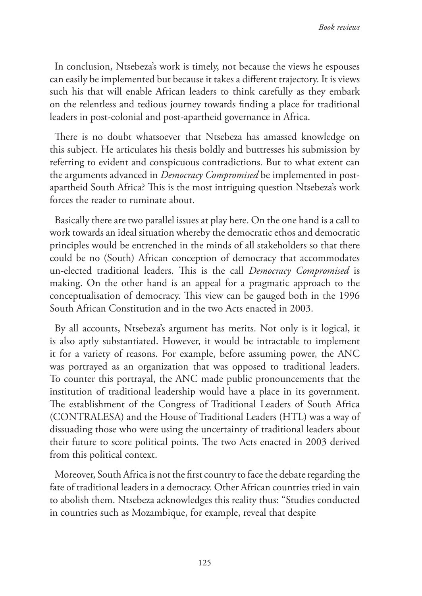In conclusion, Ntsebeza's work is timely, not because the views he espouses can easily be implemented but because it takes a different trajectory. It is views such his that will enable African leaders to think carefully as they embark on the relentless and tedious journey towards finding a place for traditional leaders in post-colonial and post-apartheid governance in Africa.

There is no doubt whatsoever that Ntsebeza has amassed knowledge on this subject. He articulates his thesis boldly and buttresses his submission by referring to evident and conspicuous contradictions. But to what extent can the arguments advanced in *Democracy Compromised* be implemented in postapartheid South Africa? This is the most intriguing question Ntsebeza's work forces the reader to ruminate about.

Basically there are two parallel issues at play here. On the one hand is a call to work towards an ideal situation whereby the democratic ethos and democratic principles would be entrenched in the minds of all stakeholders so that there could be no (South) African conception of democracy that accommodates un-elected traditional leaders. This is the call *Democracy Compromised* is making. On the other hand is an appeal for a pragmatic approach to the conceptualisation of democracy. This view can be gauged both in the 1996 South African Constitution and in the two Acts enacted in 2003.

By all accounts, Ntsebeza's argument has merits. Not only is it logical, it is also aptly substantiated. However, it would be intractable to implement it for a variety of reasons. For example, before assuming power, the ANC was portrayed as an organization that was opposed to traditional leaders. To counter this portrayal, the ANC made public pronouncements that the institution of traditional leadership would have a place in its government. The establishment of the Congress of Traditional Leaders of South Africa (CONTRALESA) and the House of Traditional Leaders (HTL) was a way of dissuading those who were using the uncertainty of traditional leaders about their future to score political points. The two Acts enacted in 2003 derived from this political context.

Moreover, South Africa is not the first country to face the debate regarding the fate of traditional leaders in a democracy. Other African countries tried in vain to abolish them. Ntsebeza acknowledges this reality thus: "Studies conducted in countries such as Mozambique, for example, reveal that despite